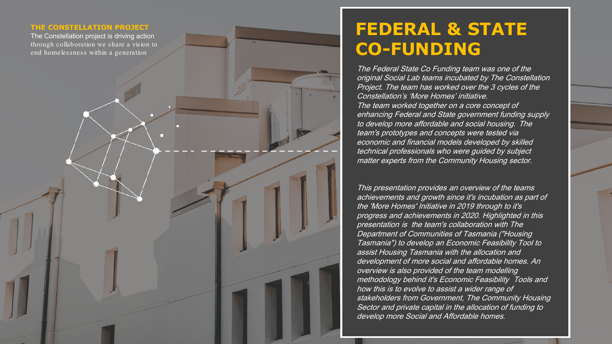#### **THE CONSTELLATION PROJECT**

The Constellation project is driving action through collaboration we share a vision to end homelessness within a generation

### **FEDERAL & STATE CO -FUNDING**

The Federal State Co Funding team was one of the original Social Lab teams incubated by The Constellation Project. The team has worked over the 3 cycles of the Constellation's 'More Homes' initiative. The team worked together on a core concept of enhancing Federal and State government funding supply to develop more affordable and social housing. The team's prototypes and concepts were tested via economic and financial models developed by skilled technical professionals who were guided by subject matter experts from the Community Housing sector.

This presentation provides an overview of the teams achievements and growth since it's incubation as part of the 'More Homes' Initiative in 2019 through to it's progress and achievements in 2020. Highlighted in this presentation is the team's collaboration with The Department of Communities of Tasmania ("Housing Tasmania") to develop an Economic Feasibility Tool to assist Housing Tasmania with the allocation and development of more social and affordable homes. An overview is also provided of the team modelling methodology behind it's Economic Feasibility Tools and how this is to evolve to assist a wider range of stakeholders from Government, The Community Housing Sector and private capital in the allocation of funding to develop more Social and Affordable homes.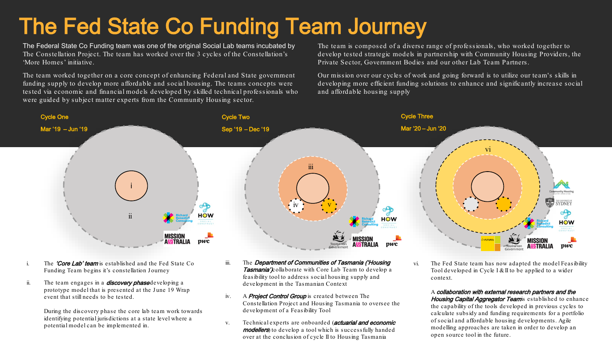## The Fed State Co Funding Team Journey

The Federal State Co Funding team was one of the original Social Lab teams incubated by The Constellation Project. The team has worked over the 3 cycles of the Constellation's 'More Homes' initiative.

The team worked together on a core concept of enhancing Federal and State government funding supply to develop more affordable and social housing. The teams concepts were tested via economic and financial models developed by skilled technical professionals who were guided by subject matter experts from the Community Housing sector.

The team is composed of a diverse range of professionals, who worked together to develop tested strategic models in partnership with Community Housing Providers, the Private Sector, Government Bodies and our other Lab Team Partners.

Our mission over our cycles of work and going forward is to utilize our team's skills in developing more efficient funding solutions to enhance and significantly increase social and affordable housing supply



- i. The **'Core Lab' team** is established and the Fed State Co Funding Team begins it's constellation Journey
- ii. The team engages in a **discovery phase** developing a prototype model that is presented at the June 19 Wrap event that still needs to be tested.

During the discovery phase the core lab team work towards identifying potential jurisdictions at a state level where a potential model can be implemented in.

- iii. The Department of Communities of Tasmania ('Housing Tasmania') collaborate with Core Lab Team to develop a feasibility tool to address social housing supply and development in the Tasmanian Context
- iv. A **Project Control Group** is created between The Constellation Project and Housing Tasmania to oversee the development of a Feasibility Tool
- v. Technical experts are onboarded (**actuarial and economic** modellers) to develop a tool which is successfully handed over at the conclusion of cycle II to Housing Tasmania

vi. The Fed State team has now adapted the model Feasibility Tool developed in Cycle I & II to be applied to a wider context.

A collaboration with external research partners and the Housing Capital Aggregator Teams established to enhance the capability of the tools developed in previous cycles to calculate subsidy and funding requirements for a portfolio of social and affordable housing developments. Agile modelling approaches are taken in order to develop an open source tool in the future.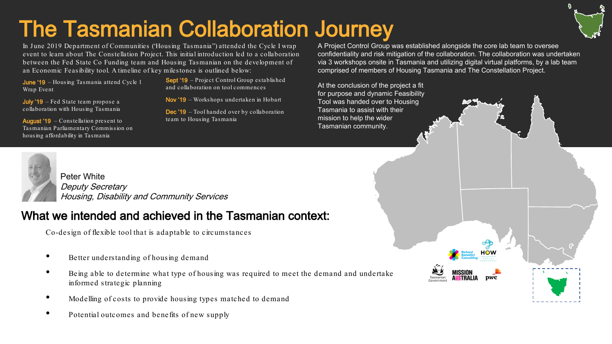## The Tasmanian Collaboration Journey

In June 2019 Department of Communities ('Housing Tasmania'') attended the Cycle I wrap event to learn about The Constellation Project. This initial introduction led to a collaboration between the Fed State Co Funding team and Housing Tasmanian on the development of an Economic Feasibility tool. A timeline of key milestones is outlined below:

June '19 – Housing Tasmania attend Cycle 1 Wrap Event

July '19 – Fed State team propose a collaboration with Housing Tasmania

August '19 – Constellation present to Tasmanian Parliamentary Commission on housing affordability in Tasmania

Sept '19 – Project Control Group established and collaboration on tool commences

Nov '19 – Workshops undertaken in Hobart

Dec '19 – Tool handed over by collaboration team to Housing Tasmania

A Project Control Group was established alongside the core lab team to oversee confidentiality and risk mitigation of the collaboration. The collaboration was undertaken via 3 workshops onsite in Tasmania and utilizing digital virtual platforms, by a lab team comprised of members of Housing Tasmania and The Constellation Project.

 $<sub>DWC</sub>$ </sub>

At the conclusion of the project a fit for purpose and dynamic Feasibility Tool was handed over to Housing Tasmania to assist with their mission to help the wider Tasmanian community.



Peter White Deputy Secretary Housing, Disability and Community Services

### What we intended and achieved in the Tasmanian context:

Co-design of flexible tool that is adaptable to circumstances

- Better understanding of housing demand
- Being able to determine what type of housing was required to meet the demand and undertake informed strategic planning
- Modelling of costs to provide housing types matched to demand
- Potential outcomes and benefits of new supply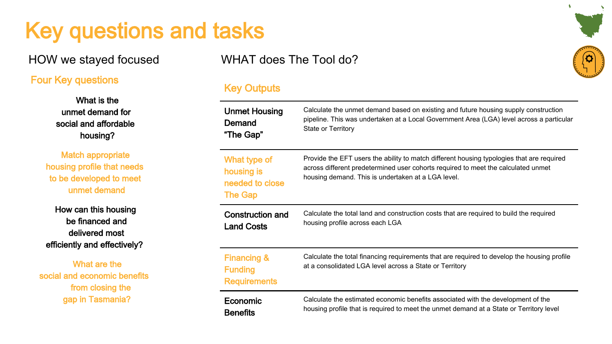## Key questions and tasks

#### Four Key questions

What is the unmet demand for social and affordable housing?

Match appropriate housing profile that needs to be developed to meet unmet demand

How can this housing be financed and delivered most efficiently and effectively?

What are the social and economic benefits from closing the gap in Tasmania?

HOW we stayed focused WHAT does The Tool do?

#### Key Outputs

| <b>Unmet Housing</b>                                            | Calculate the unmet demand based on existing and future housing supply construction                                                                                                                                                  |
|-----------------------------------------------------------------|--------------------------------------------------------------------------------------------------------------------------------------------------------------------------------------------------------------------------------------|
| Demand                                                          | pipeline. This was undertaken at a Local Government Area (LGA) level across a particular                                                                                                                                             |
| "The Gap"                                                       | State or Territory                                                                                                                                                                                                                   |
| What type of<br>housing is<br>needed to close<br><b>The Gap</b> | Provide the EFT users the ability to match different housing typologies that are required<br>across different predetermined user cohorts required to meet the calculated unmet<br>housing demand. This is undertaken at a LGA level. |
| Construction and                                                | Calculate the total land and construction costs that are required to build the required                                                                                                                                              |
| <b>Land Costs</b>                                               | housing profile across each LGA                                                                                                                                                                                                      |
| <b>Financing &amp;</b><br><b>Funding</b><br><b>Requirements</b> | Calculate the total financing requirements that are required to develop the housing profile<br>at a consolidated LGA level across a State or Territory                                                                               |
| Economic                                                        | Calculate the estimated economic benefits associated with the development of the                                                                                                                                                     |
| <b>Benefits</b>                                                 | housing profile that is required to meet the unmet demand at a State or Territory level                                                                                                                                              |

 $\ddot{\phantom{1}}$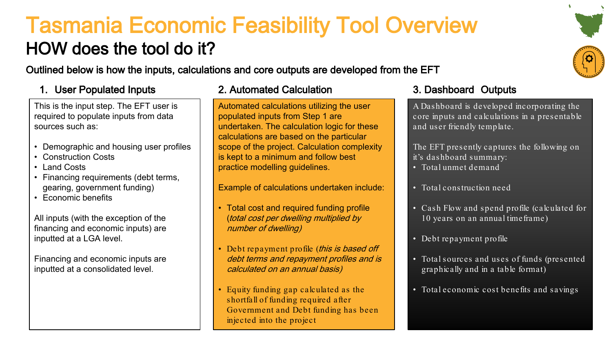### Tasmania Economic Feasibility Tool Overview HOW does the tool do it?

Outlined below is how the inputs, calculations and core outputs are developed from the EFT

### 1. User Populated Inputs 2. Automated Calculation 3. Dashboard Outputs

This is the input step. The EFT user is required to populate inputs from data sources such as:

- Demographic and housing user profiles
- Construction Costs
- Land Costs
- Financing requirements (debt terms, gearing, government funding)
- Economic benefits

All inputs (with the exception of the financing and economic inputs) are inputted at a LGA level.

Financing and economic inputs are inputted at a consolidated level.

### 2. Automated Calculation

Automated calculations utilizing the user populated inputs from Step 1 are undertaken. The calculation logic for these calculations are based on the particular scope of the project. Calculation complexity is kept to a minimum and follow best practice modelling guidelines.

Example of calculations undertaken include:

- Total cost and required funding profile (total cost per dwelling multiplied by number of dwelling)
- Debt repayment profile (this is based off debt terms and repayment profiles and is calculated on an annual basis)
- Equity funding gap calculated as the shortfall of funding required after Government and Debt funding has been injected into the project

A Dashboard is developed incorporating the core inputs and calculations in a presentable and user friendly template.

The EFT presently captures the following on it's dashboard summary:

- Total unmet demand
- Total construction need
- Cash Flow and spend profile (calculated for 10 years on an annual timeframe)
- Debt repayment profile
- Total sources and uses of funds (presented graphically and in a table format)
- Total economic cost benefits and savings

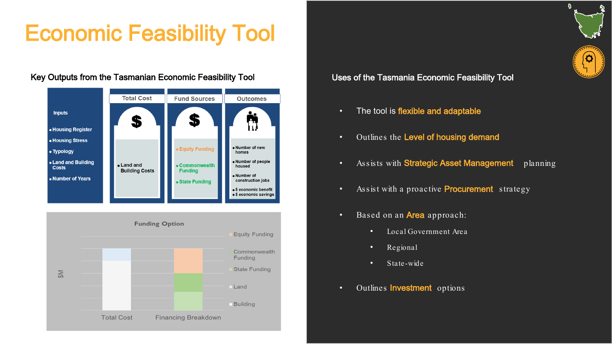## Economic Feasibility Tool

#### Key Outputs from the Tasmanian Economic Feasibility Tool **National Conomic Examania Economic Feasibility Tool**





- The tool is flexible and adaptable
- Outlines the Level of housing demand
- Assists with **Strategic Asset Management** planning

Ð

O

- Assist with a proactive **Procurement** strategy
- Based on an **Area** approach:
	- Local Government Area
	- Regional
	- State-wide
- Outlines Investment options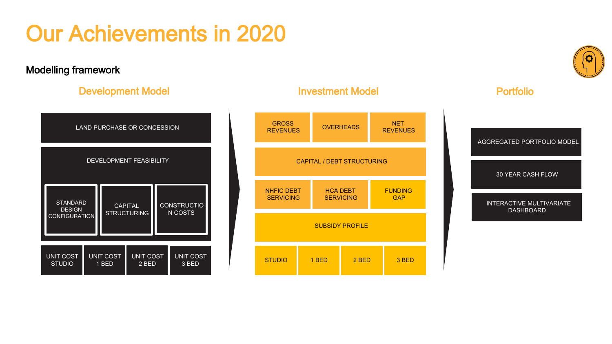# Our Achievements in 2020

### Modelling framework

### Development Model **Investment Model Investment Model Portfolio**

| <b>LAND PURCHASE OR CONCESSION</b>                             |  |                                      |  |                               |  |  |  |
|----------------------------------------------------------------|--|--------------------------------------|--|-------------------------------|--|--|--|
| <b>DEVELOPMENT FEASIBILITY</b>                                 |  |                                      |  |                               |  |  |  |
| <b>STANDARD</b><br><b>DESIGN</b><br><b>CONFIGURATION</b>       |  | <b>CAPITAL</b><br><b>STRUCTURING</b> |  | <b>CONSTRUCTIO</b><br>N COSTS |  |  |  |
| <b>UNIT COST</b><br><b>UNIT COST</b><br><b>STUDIO</b><br>1 BED |  | <b>UNIT COST</b><br>2 BED            |  | <b>UNIT COST</b><br>3 BED     |  |  |  |



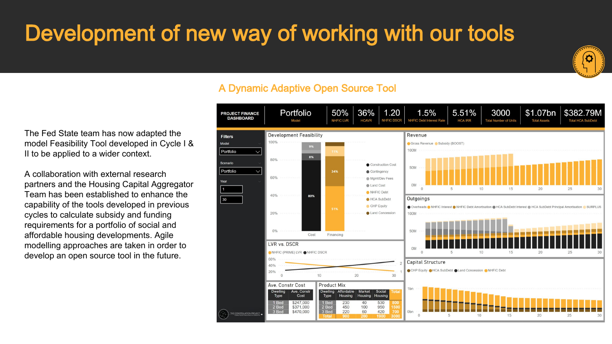# Development of new way of working with our tools



A Dynamic Adaptive Open Source Tool

1.20 \$1.07bn \$38279M Portfolio 50% 36% 1.5% 5.51% 3000 **PROJECT FINANCE DASHBOARD** NHEIG LVR **HCAVR** NHEIC DSCE NHFIC Debt Interest Rat **Total Number of Units Total Assets** Model **HCA IRR** Total HCA SubDe **Development Feasibility** Revenue **Filters**  $1000$ Model Gross Revenue & Subsidy (BOOST) Portfolio 100M  $996$ 80% Scenario Construction Cost 50M Portfolio  $\bullet$  Contingency  $60%$ Mamt/Dev Fees 0<sub>M</sub> A Land Cost NHFIC Debt 40% **ROW**  $\overline{\phantom{1}}$ 30 HCA SubDebt Outgoings CHP Equity Overheads ONHFIC Interest ONHFIC Debt Amortisation OHCA SubDebt Interest OHCA SubDebt Principal Amortisation  $2000$ Land Concession 100M 50M Cost Financing LVR vs. DSCR  $0<sub>M</sub>$ PRIME) LVR ANHEIC DSCE **Capital Structure** CHP Equity OHCA SubDebt Cand Concession ONHFIC Debt  $10$  $20$  $30$ Ave. Constr Cost **Product Mix** Ave. Const Affordable Social Cost Type Housing Housing Housing \$247,000 230  $40$ 530 \$371,000 450 100 950 \$470,000 220 60 420 0<sub>bn</sub>

The Fed State team has now adapted the model Feasibility Tool developed in Cycle I & II to be applied to a wider context.

A collaboration with external research partners and the Housing Capital Aggregator Team has been established to enhance the capability of the tools developed in previous cycles to calculate subsidy and funding requirements for a portfolio of social and affordable housing developments. Agile modelling approaches are taken in order to develop an open source tool in the future.